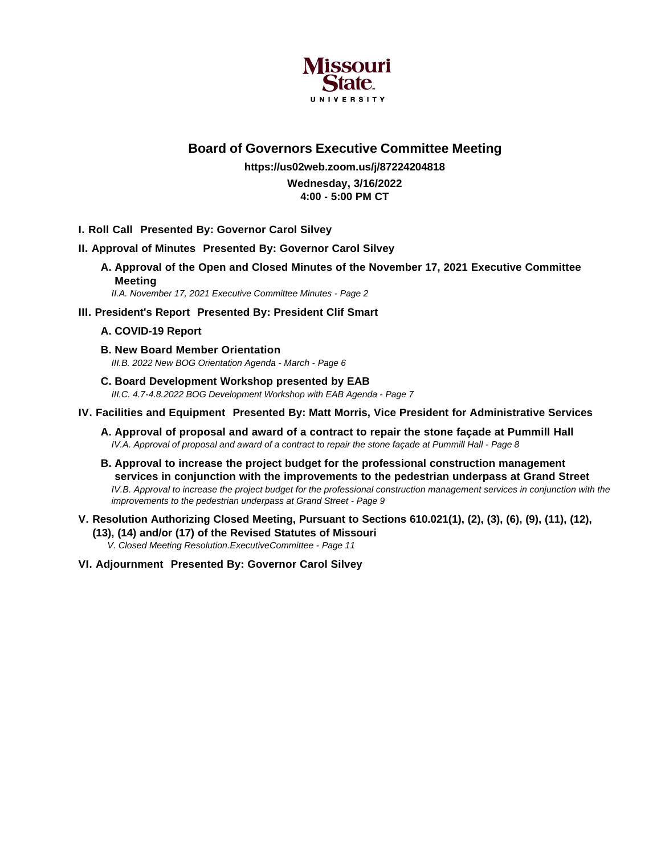

## **Board of Governors Executive Committee Meeting**

#### **https://us02web.zoom.us/j/87224204818 Wednesday, 3/16/2022 4:00 - 5:00 PM CT**

- **I. Roll Call Presented By: Governor Carol Silvey**
- **II. Approval of Minutes Presented By: Governor Carol Silvey**
	- **A. Approval of the Open and Closed Minutes of the November 17, 2021 Executive Committee Meeting**

II.A. November 17, 2021 Executive Committee Minutes - Page 2

**III. President's Report Presented By: President Clif Smart**

#### **A. COVID-19 Report**

- **B. New Board Member Orientation** III.B. 2022 New BOG Orientation Agenda - March - Page 6
- **C. Board Development Workshop presented by EAB** III.C. 4.7-4.8.2022 BOG Development Workshop with EAB Agenda - Page 7

#### **IV. Facilities and Equipment Presented By: Matt Morris, Vice President for Administrative Services**

- **A. Approval of proposal and award of a contract to repair the stone façade at Pummill Hall** IV.A. Approval of proposal and award of a contract to repair the stone façade at Pummill Hall - Page 8
- **B. Approval to increase the project budget for the professional construction management services in conjunction with the improvements to the pedestrian underpass at Grand Street** IV.B. Approval to increase the project budget for the professional construction management services in conjunction with the improvements to the pedestrian underpass at Grand Street - Page 9
- **V. Resolution Authorizing Closed Meeting, Pursuant to Sections 610.021(1), (2), (3), (6), (9), (11), (12), (13), (14) and/or (17) of the Revised Statutes of Missouri**

V. Closed Meeting Resolution.ExecutiveCommittee - Page 11

**VI. Adjournment Presented By: Governor Carol Silvey**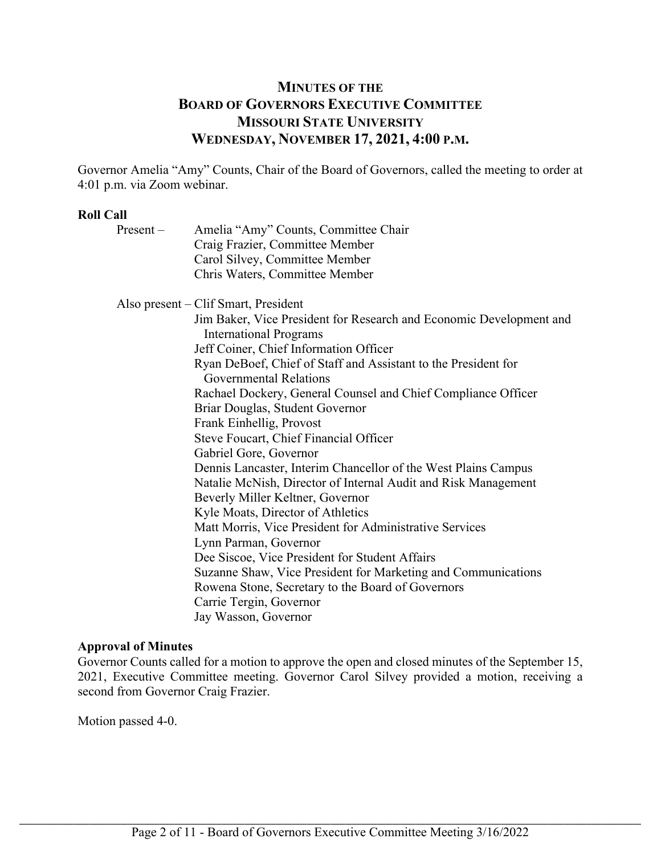## **MINUTES OF THE BOARD OF GOVERNORS EXECUTIVE COMMITTEE MISSOURI STATE UNIVERSITY WEDNESDAY, NOVEMBER 17, 2021, 4:00 P.M.**

Governor Amelia "Amy" Counts, Chair of the Board of Governors, called the meeting to order at 4:01 p.m. via Zoom webinar.

#### **Roll Call**

| $Present -$ | Amelia "Amy" Counts, Committee Chair                                                                 |
|-------------|------------------------------------------------------------------------------------------------------|
|             | Craig Frazier, Committee Member                                                                      |
|             | Carol Silvey, Committee Member                                                                       |
|             | Chris Waters, Committee Member                                                                       |
|             | Also present – Clif Smart, President                                                                 |
|             | Jim Baker, Vice President for Research and Economic Development and<br><b>International Programs</b> |
|             | Jeff Coiner, Chief Information Officer                                                               |
|             | Ryan DeBoef, Chief of Staff and Assistant to the President for<br><b>Governmental Relations</b>      |
|             | Rachael Dockery, General Counsel and Chief Compliance Officer                                        |
|             | Briar Douglas, Student Governor                                                                      |
|             | Frank Einhellig, Provost                                                                             |
|             | Steve Foucart, Chief Financial Officer                                                               |
|             | Gabriel Gore, Governor                                                                               |
|             | Dennis Lancaster, Interim Chancellor of the West Plains Campus                                       |
|             | Natalie McNish, Director of Internal Audit and Risk Management                                       |
|             | Beverly Miller Keltner, Governor                                                                     |
|             | Kyle Moats, Director of Athletics                                                                    |
|             | Matt Morris, Vice President for Administrative Services                                              |
|             | Lynn Parman, Governor                                                                                |
|             | Dee Siscoe, Vice President for Student Affairs                                                       |
|             | Suzanne Shaw, Vice President for Marketing and Communications                                        |
|             | Rowena Stone, Secretary to the Board of Governors                                                    |
|             | Carrie Tergin, Governor                                                                              |
|             | Jay Wasson, Governor                                                                                 |

#### **Approval of Minutes**

Governor Counts called for a motion to approve the open and closed minutes of the September 15, 2021, Executive Committee meeting. Governor Carol Silvey provided a motion, receiving a second from Governor Craig Frazier.

Motion passed 4-0.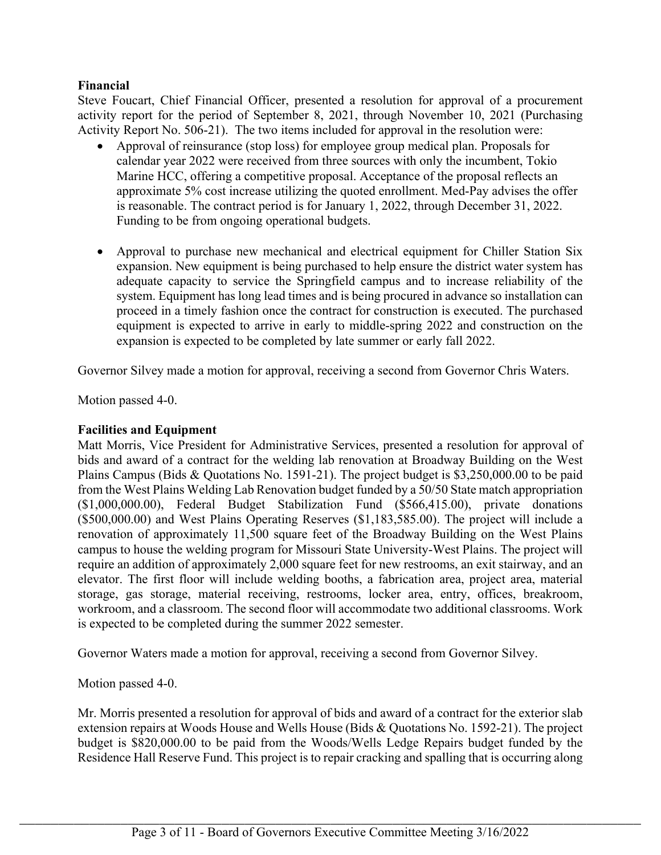## **Financial**

Steve Foucart, Chief Financial Officer, presented a resolution for approval of a procurement activity report for the period of September 8, 2021, through November 10, 2021 (Purchasing Activity Report No. 506-21). The two items included for approval in the resolution were:

- Approval of reinsurance (stop loss) for employee group medical plan. Proposals for calendar year 2022 were received from three sources with only the incumbent, Tokio Marine HCC, offering a competitive proposal. Acceptance of the proposal reflects an approximate 5% cost increase utilizing the quoted enrollment. Med-Pay advises the offer is reasonable. The contract period is for January 1, 2022, through December 31, 2022. Funding to be from ongoing operational budgets.
- Approval to purchase new mechanical and electrical equipment for Chiller Station Six expansion. New equipment is being purchased to help ensure the district water system has adequate capacity to service the Springfield campus and to increase reliability of the system. Equipment has long lead times and is being procured in advance so installation can proceed in a timely fashion once the contract for construction is executed. The purchased equipment is expected to arrive in early to middle-spring 2022 and construction on the expansion is expected to be completed by late summer or early fall 2022.

Governor Silvey made a motion for approval, receiving a second from Governor Chris Waters.

Motion passed 4-0.

### **Facilities and Equipment**

Matt Morris, Vice President for Administrative Services, presented a resolution for approval of bids and award of a contract for the welding lab renovation at Broadway Building on the West Plains Campus (Bids & Quotations No. 1591-21). The project budget is \$3,250,000.00 to be paid from the West Plains Welding Lab Renovation budget funded by a 50/50 State match appropriation (\$1,000,000.00), Federal Budget Stabilization Fund (\$566,415.00), private donations (\$500,000.00) and West Plains Operating Reserves (\$1,183,585.00). The project will include a renovation of approximately 11,500 square feet of the Broadway Building on the West Plains campus to house the welding program for Missouri State University-West Plains. The project will require an addition of approximately 2,000 square feet for new restrooms, an exit stairway, and an elevator. The first floor will include welding booths, a fabrication area, project area, material storage, gas storage, material receiving, restrooms, locker area, entry, offices, breakroom, workroom, and a classroom. The second floor will accommodate two additional classrooms. Work is expected to be completed during the summer 2022 semester.

Governor Waters made a motion for approval, receiving a second from Governor Silvey.

Motion passed 4-0.

Mr. Morris presented a resolution for approval of bids and award of a contract for the exterior slab extension repairs at Woods House and Wells House (Bids & Quotations No. 1592-21). The project budget is \$820,000.00 to be paid from the Woods/Wells Ledge Repairs budget funded by the Residence Hall Reserve Fund. This project is to repair cracking and spalling that is occurring along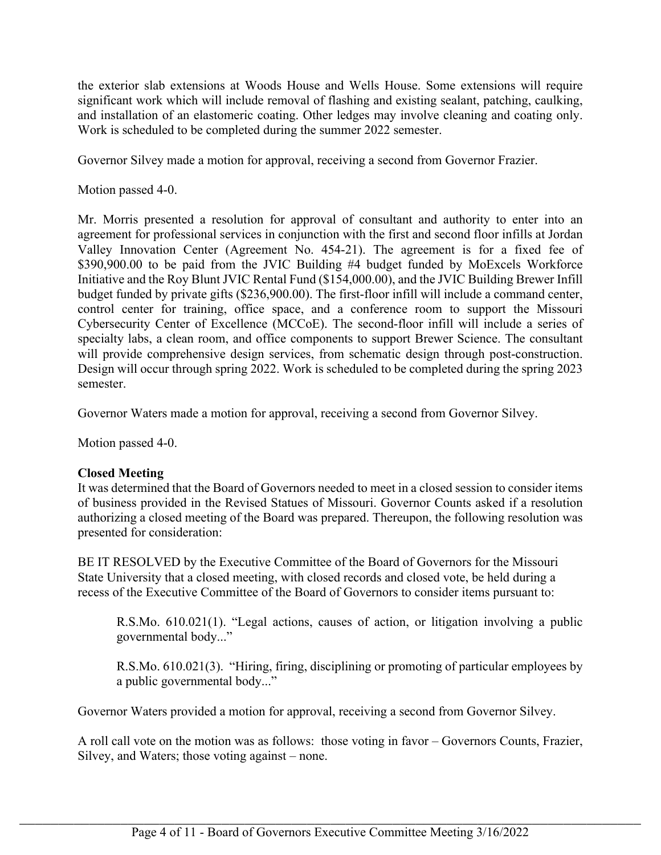the exterior slab extensions at Woods House and Wells House. Some extensions will require significant work which will include removal of flashing and existing sealant, patching, caulking, and installation of an elastomeric coating. Other ledges may involve cleaning and coating only. Work is scheduled to be completed during the summer 2022 semester.

Governor Silvey made a motion for approval, receiving a second from Governor Frazier.

Motion passed 4-0.

Mr. Morris presented a resolution for approval of consultant and authority to enter into an agreement for professional services in conjunction with the first and second floor infills at Jordan Valley Innovation Center (Agreement No. 454-21). The agreement is for a fixed fee of \$390,900.00 to be paid from the JVIC Building #4 budget funded by MoExcels Workforce Initiative and the Roy Blunt JVIC Rental Fund (\$154,000.00), and the JVIC Building Brewer Infill budget funded by private gifts (\$236,900.00). The first-floor infill will include a command center, control center for training, office space, and a conference room to support the Missouri Cybersecurity Center of Excellence (MCCoE). The second-floor infill will include a series of specialty labs, a clean room, and office components to support Brewer Science. The consultant will provide comprehensive design services, from schematic design through post-construction. Design will occur through spring 2022. Work is scheduled to be completed during the spring 2023 semester.

Governor Waters made a motion for approval, receiving a second from Governor Silvey.

Motion passed 4-0.

### **Closed Meeting**

It was determined that the Board of Governors needed to meet in a closed session to consider items of business provided in the Revised Statues of Missouri. Governor Counts asked if a resolution authorizing a closed meeting of the Board was prepared. Thereupon, the following resolution was presented for consideration:

BE IT RESOLVED by the Executive Committee of the Board of Governors for the Missouri State University that a closed meeting, with closed records and closed vote, be held during a recess of the Executive Committee of the Board of Governors to consider items pursuant to:

R.S.Mo. 610.021(1). "Legal actions, causes of action, or litigation involving a public governmental body..."

R.S.Mo. 610.021(3). "Hiring, firing, disciplining or promoting of particular employees by a public governmental body..."

Governor Waters provided a motion for approval, receiving a second from Governor Silvey.

A roll call vote on the motion was as follows: those voting in favor – Governors Counts, Frazier, Silvey, and Waters; those voting against – none.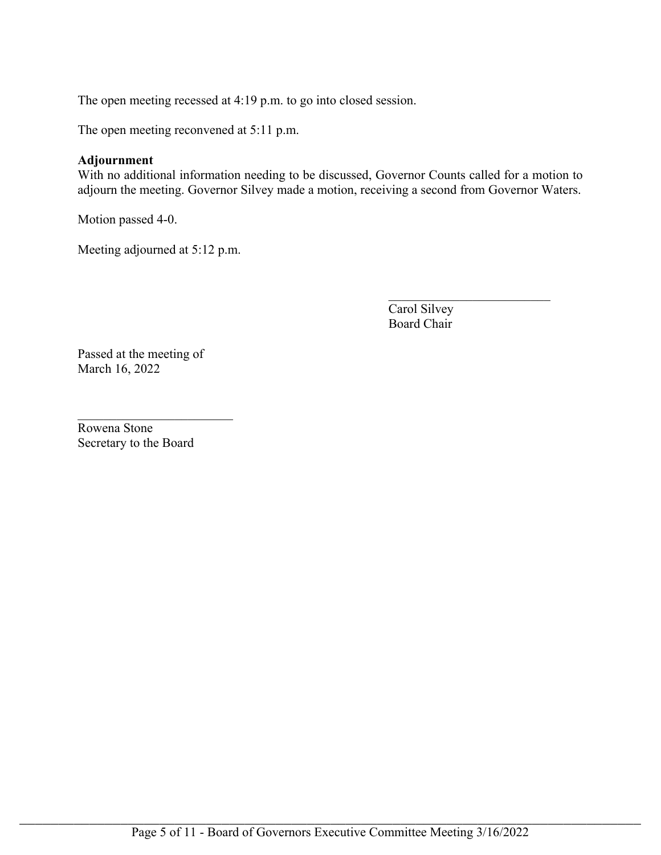The open meeting recessed at 4:19 p.m. to go into closed session.

The open meeting reconvened at 5:11 p.m.

#### **Adjournment**

With no additional information needing to be discussed, Governor Counts called for a motion to adjourn the meeting. Governor Silvey made a motion, receiving a second from Governor Waters.

Motion passed 4-0.

Meeting adjourned at 5:12 p.m.

Carol Silvey Board Chair

 $\mathcal{L}_\text{max}$  , where  $\mathcal{L}_\text{max}$  , we have the set of the set of the set of the set of the set of the set of the set of the set of the set of the set of the set of the set of the set of the set of the set of the set of

Passed at the meeting of March 16, 2022

Rowena Stone Secretary to the Board

 $\mathcal{L}_\text{max}$  , where  $\mathcal{L}_\text{max}$  , we have the set of  $\mathcal{L}_\text{max}$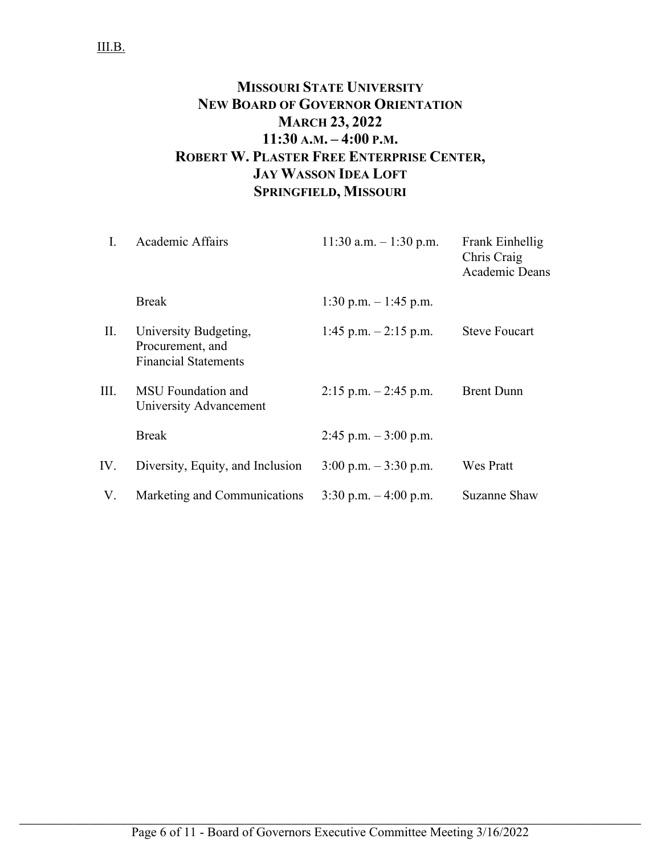# **MISSOURI STATE UNIVERSITY NEW BOARD OF GOVERNOR ORIENTATION MARCH 23, 2022 11:30 A.M. – 4:00 P.M. ROBERT W. PLASTER FREE ENTERPRISE CENTER, JAY WASSON IDEA LOFT SPRINGFIELD, MISSOURI**

| L               | Academic Affairs                                                         | 11:30 a.m. $-1:30$ p.m.                 | Frank Einhellig<br>Chris Craig<br>Academic Deans |
|-----------------|--------------------------------------------------------------------------|-----------------------------------------|--------------------------------------------------|
|                 | <b>Break</b>                                                             | 1:30 p.m. $-1:45$ p.m.                  |                                                  |
| $\mathbf{II}$ . | University Budgeting,<br>Procurement, and<br><b>Financial Statements</b> | 1:45 p.m. $-2:15$ p.m.                  | <b>Steve Foucart</b>                             |
| III.            | MSU Foundation and<br>University Advancement                             | $2:15$ p.m. $-2:45$ p.m.                | <b>Brent Dunn</b>                                |
|                 | <b>Break</b>                                                             | $2:45$ p.m. $-3:00$ p.m.                |                                                  |
| IV.             | Diversity, Equity, and Inclusion                                         | $3:00 \text{ p.m.} - 3:30 \text{ p.m.}$ | <b>Wes Pratt</b>                                 |
| V.              | Marketing and Communications                                             | $3:30$ p.m. $-4:00$ p.m.                | Suzanne Shaw                                     |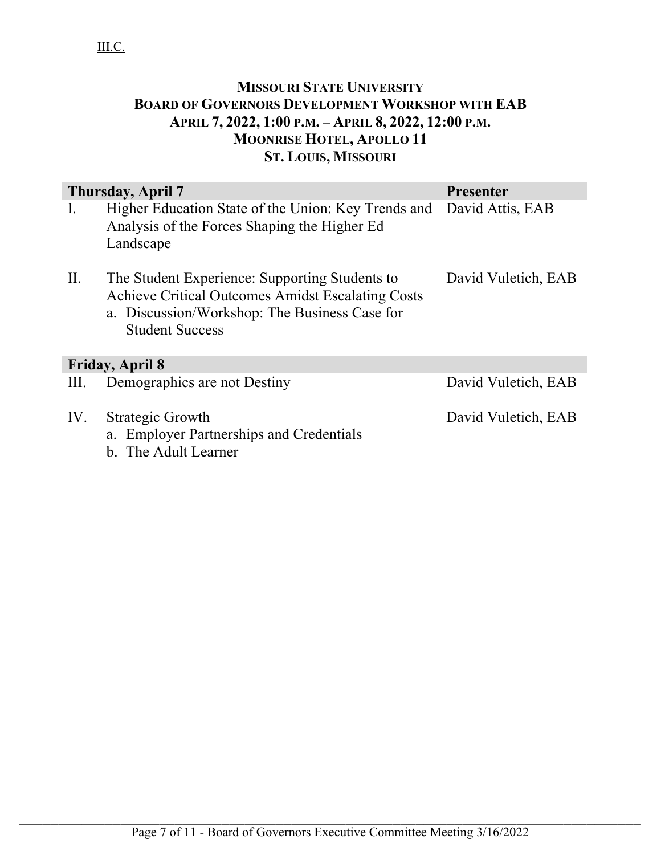# **MISSOURI STATE UNIVERSITY BOARD OF GOVERNORS DEVELOPMENT WORKSHOP WITH EAB APRIL 7, 2022, 1:00 P.M. – APRIL 8, 2022, 12:00 P.M. MOONRISE HOTEL, APOLLO 11 ST. LOUIS, MISSOURI**

| Thursday, April 7<br><b>Presenter</b> |                                                                                                                                                                                |                     |
|---------------------------------------|--------------------------------------------------------------------------------------------------------------------------------------------------------------------------------|---------------------|
| $\rm I$ .                             | Higher Education State of the Union: Key Trends and<br>Analysis of the Forces Shaping the Higher Ed<br>Landscape                                                               | David Attis, EAB    |
| II.                                   | The Student Experience: Supporting Students to<br>Achieve Critical Outcomes Amidst Escalating Costs<br>a. Discussion/Workshop: The Business Case for<br><b>Student Success</b> | David Vuletich, EAB |
|                                       | <b>Friday, April 8</b>                                                                                                                                                         |                     |
| III.                                  | Demographics are not Destiny                                                                                                                                                   | David Vuletich, EAB |
| IV.                                   | Strategic Growth<br>a. Employer Partnerships and Credentials<br>b. The Adult Learner                                                                                           | David Vuletich, EAB |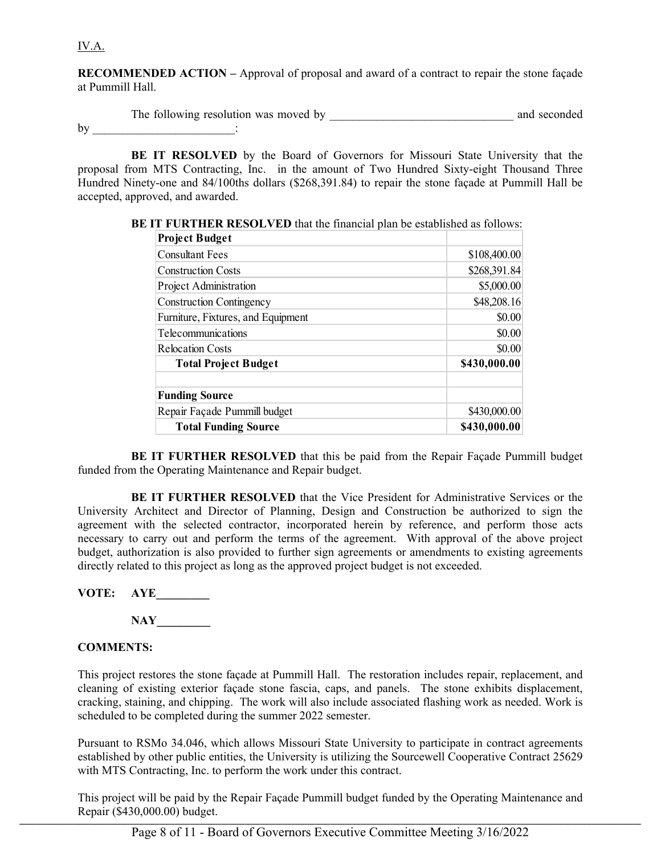IV.A.

**RECOMMENDED ACTION –** Approval of proposal and award of a contract to repair the stone façade at Pummill Hall.

|    | The following resolution was moved by | and seconded |
|----|---------------------------------------|--------------|
| bv |                                       |              |

**BE IT RESOLVED** by the Board of Governors for Missouri State University that the proposal from MTS Contracting, Inc. in the amount of Two Hundred Sixty-eight Thousand Three Hundred Ninety-one and 84/100ths dollars (\$268,391.84) to repair the stone façade at Pummill Hall be accepted, approved, and awarded.

| <b>Project Budget</b>              |              |
|------------------------------------|--------------|
| <b>Consultant Fees</b>             | \$108,400.00 |
| <b>Construction Costs</b>          | \$268,391.84 |
| <b>Project Administration</b>      | \$5,000.00   |
| <b>Construction Contingency</b>    | \$48,208.16  |
| Furniture, Fixtures, and Equipment | \$0.00       |
| Telecommunications                 | \$0.00       |
| <b>Relocation Costs</b>            | \$0.00       |
| <b>Total Project Budget</b>        | \$430,000.00 |
| <b>Funding Source</b>              |              |
| Repair Façade Pummill budget       | \$430,000.00 |
| <b>Total Funding Source</b>        | \$430,000.00 |

**BE IT FURTHER RESOLVED** that the financial plan be established as follows:

**BE IT FURTHER RESOLVED** that this be paid from the Repair Façade Pummill budget funded from the Operating Maintenance and Repair budget.

**BE IT FURTHER RESOLVED** that the Vice President for Administrative Services or the University Architect and Director of Planning, Design and Construction be authorized to sign the agreement with the selected contractor, incorporated herein by reference, and perform those acts necessary to carry out and perform the terms of the agreement. With approval of the above project budget, authorization is also provided to further sign agreements or amendments to existing agreements directly related to this project as long as the approved project budget is not exceeded.

**VOTE: AYE\_\_\_\_\_\_\_\_\_**

**NAY\_\_\_\_\_\_\_\_\_**

#### **COMMENTS:**

This project restores the stone façade at Pummill Hall. The restoration includes repair, replacement, and cleaning of existing exterior façade stone fascia, caps, and panels. The stone exhibits displacement, cracking, staining, and chipping. The work will also include associated flashing work as needed. Work is scheduled to be completed during the summer 2022 semester.

Pursuant to RSMo 34.046, which allows Missouri State University to participate in contract agreements established by other public entities, the University is utilizing the Sourcewell Cooperative Contract 25629 with MTS Contracting, Inc. to perform the work under this contract.

This project will be paid by the Repair Façade Pummill budget funded by the Operating Maintenance and Repair (\$430,000.00) budget.  $\Delta$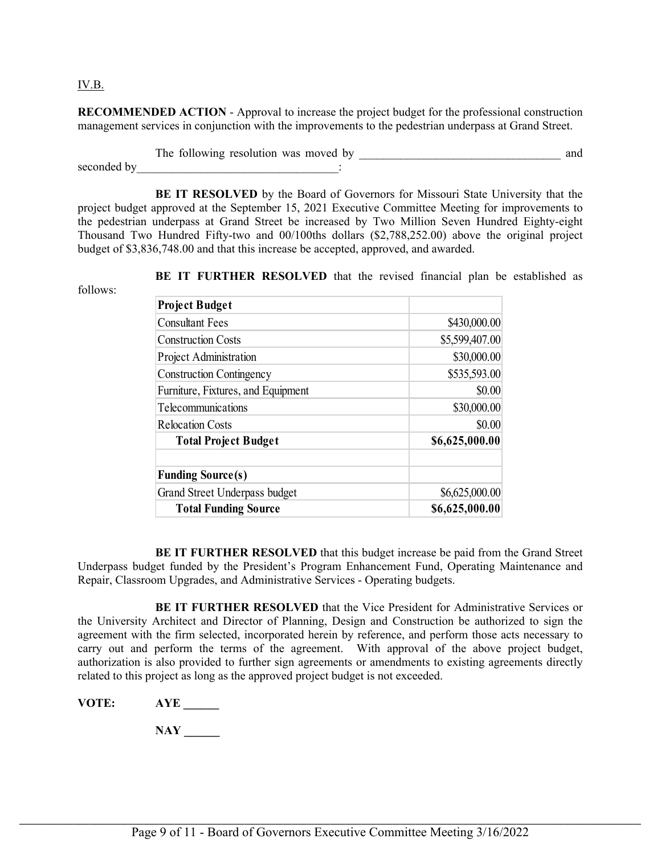#### IV.B.

**RECOMMENDED ACTION** - Approval to increase the project budget for the professional construction management services in conjunction with the improvements to the pedestrian underpass at Grand Street.

The following resolution was moved by \_\_\_\_\_\_\_\_\_\_\_\_\_\_\_\_\_\_\_\_\_\_\_\_\_\_\_\_\_\_\_\_\_\_ and seconded by  $\qquad \qquad$  :

**BE IT RESOLVED** by the Board of Governors for Missouri State University that the project budget approved at the September 15, 2021 Executive Committee Meeting for improvements to the pedestrian underpass at Grand Street be increased by Two Million Seven Hundred Eighty-eight Thousand Two Hundred Fifty-two and 00/100ths dollars (\$2,788,252.00) above the original project budget of \$3,836,748.00 and that this increase be accepted, approved, and awarded.

**BE IT FURTHER RESOLVED** that the revised financial plan be established as

follows:

| <b>Project Budget</b>              |                |
|------------------------------------|----------------|
| <b>Consultant Fees</b>             | \$430,000.00   |
| <b>Construction Costs</b>          | \$5,599,407.00 |
| <b>Project Administration</b>      | \$30,000.00    |
| <b>Construction Contingency</b>    | \$535,593.00   |
| Furniture, Fixtures, and Equipment | \$0.00         |
| Telecommunications                 | \$30,000.00    |
| <b>Relocation Costs</b>            | \$0.00         |
| <b>Total Project Budget</b>        | \$6,625,000.00 |
| <b>Funding Source(s)</b>           |                |
| Grand Street Underpass budget      | \$6,625,000.00 |
| <b>Total Funding Source</b>        | \$6,625,000.00 |

**BE IT FURTHER RESOLVED** that this budget increase be paid from the Grand Street Underpass budget funded by the President's Program Enhancement Fund, Operating Maintenance and Repair, Classroom Upgrades, and Administrative Services - Operating budgets.

**BE IT FURTHER RESOLVED** that the Vice President for Administrative Services or the University Architect and Director of Planning, Design and Construction be authorized to sign the agreement with the firm selected, incorporated herein by reference, and perform those acts necessary to carry out and perform the terms of the agreement. With approval of the above project budget, authorization is also provided to further sign agreements or amendments to existing agreements directly related to this project as long as the approved project budget is not exceeded.

**VOTE: AYE \_\_\_\_\_\_**

**NAY \_\_\_\_\_\_**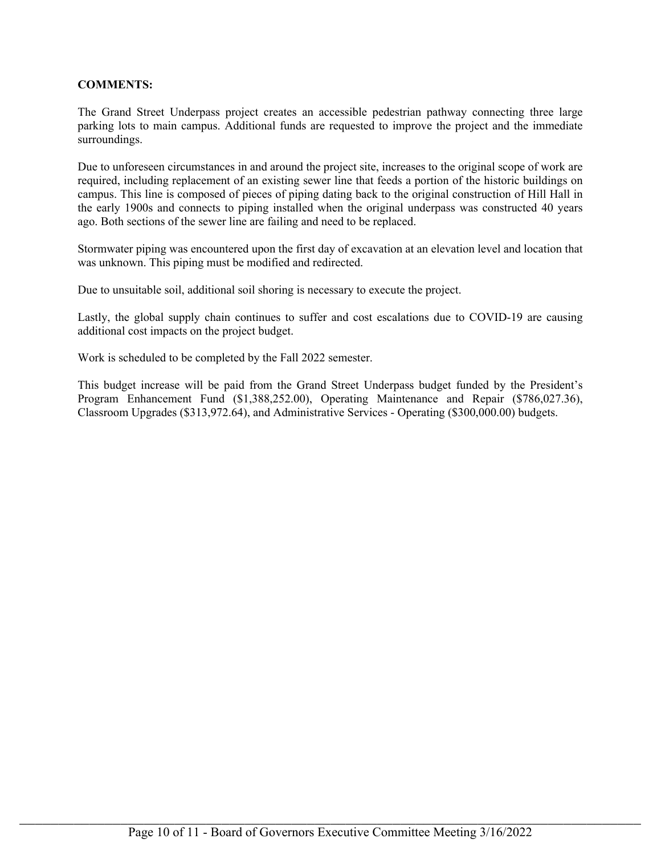#### **COMMENTS:**

The Grand Street Underpass project creates an accessible pedestrian pathway connecting three large parking lots to main campus. Additional funds are requested to improve the project and the immediate surroundings.

Due to unforeseen circumstances in and around the project site, increases to the original scope of work are required, including replacement of an existing sewer line that feeds a portion of the historic buildings on campus. This line is composed of pieces of piping dating back to the original construction of Hill Hall in the early 1900s and connects to piping installed when the original underpass was constructed 40 years ago. Both sections of the sewer line are failing and need to be replaced.

Stormwater piping was encountered upon the first day of excavation at an elevation level and location that was unknown. This piping must be modified and redirected.

Due to unsuitable soil, additional soil shoring is necessary to execute the project.

Lastly, the global supply chain continues to suffer and cost escalations due to COVID-19 are causing additional cost impacts on the project budget.

Work is scheduled to be completed by the Fall 2022 semester.

This budget increase will be paid from the Grand Street Underpass budget funded by the President's Program Enhancement Fund (\$1,388,252.00), Operating Maintenance and Repair (\$786,027.36), Classroom Upgrades (\$313,972.64), and Administrative Services - Operating (\$300,000.00) budgets.